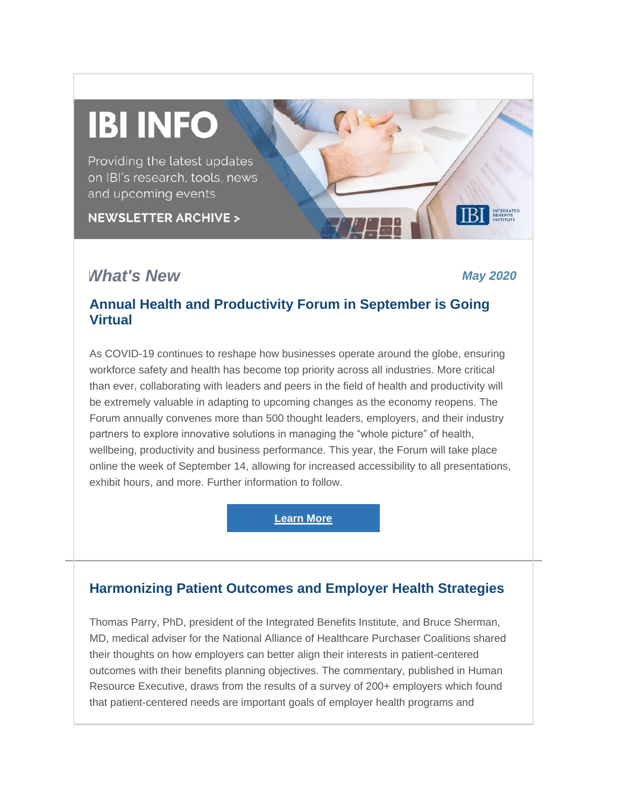# **IBI INFO**

Providing the latest updates on IBI's research, tools, news and upcoming events

**NEWSLETTER ARCHIVE >** 

# *What's New May 2020*

IBI

# **Annual Health and Productivity Forum in September is Going Virtual**

As COVID-19 continues to reshape how businesses operate around the globe, ensuring workforce safety and health has become top priority across all industries. More critical than ever, collaborating with leaders and peers in the field of health and productivity will be extremely valuable in adapting to upcoming changes as the economy reopens. The Forum annually convenes more than 500 thought leaders, employers, and their industry partners to explore innovative solutions in managing the "whole picture" of health, wellbeing, productivity and business performance. This year, the Forum will take place online the week of September 14, allowing for increased accessibility to all presentations, exhibit hours, and more. Further information to follow.

#### **[Learn More](https://www.ibiweb.org/ibi-conference-board-health-and-productivity-forum/)**

# **Harmonizing Patient Outcomes and Employer Health Strategies**

Thomas Parry, PhD, president of the Integrated Benefits Institute, and Bruce Sherman, MD, medical adviser for the National Alliance of Healthcare Purchaser Coalitions shared their thoughts on how employers can better align their interests in patient-centered outcomes with their benefits planning objectives. The commentary, published in Human Resource Executive, draws from the results of a survey of 200+ employers which found that patient-centered needs are important goals of employer health programs and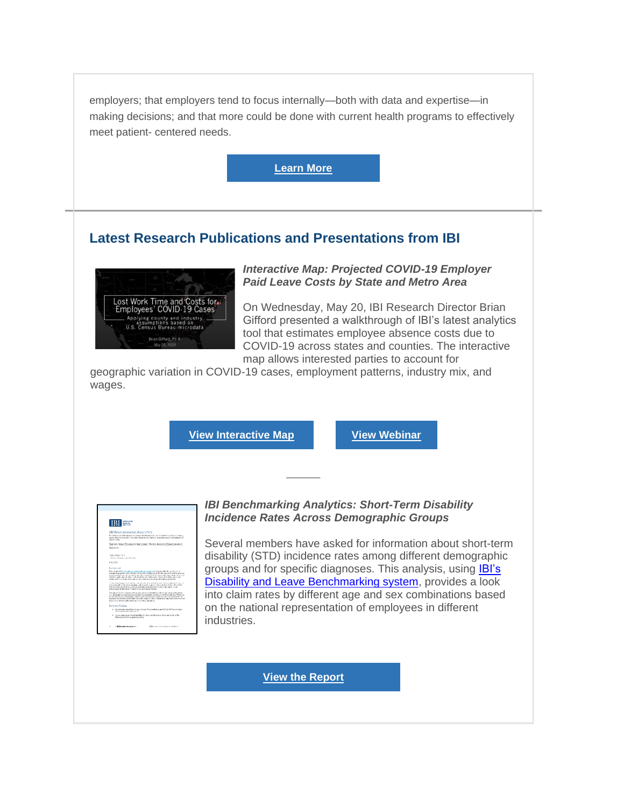employers; that employers tend to focus internally—both with data and expertise—in making decisions; and that more could be done with current health programs to effectively meet patient- centered needs.

**[Learn More](https://hrexecutive.com/harmonizing-patient-centered-outcomes-and-employer-health-strategies/)**

## **Latest Research Publications and Presentations from IBI**



*Interactive Map: Projected COVID-19 Employer [P](http://www.ibiweb.org/resource/employee-covid-19-cases-metro-areas/)aid Leave Costs by State and Metro Area*

On Wednesday, May 20, IBI Research Director Brian Gifford presented a walkthrough of IBI's latest analytics tool that estimates employee absence costs due to COVID-19 across states and counties. The interactive map allows interested parties to account for

geographic variation in COVID-19 cases, employment patterns, industry mix, and wages.

**[View Interactive Map](https://www.ibiweb.org/resource/employee-covid-19-cases-metro-areas/) [View Webinar](https://www.ibiweb.org/resource/overview-of-model-for-estimating-covid-19-employee-cases-leave-costs-by-state-and-metro-area/)**



*IBI Benchmarking Analytics: Short-Term Disability Incidence Rates Across Demographic Groups*

Several members have asked for information about short-term disability (STD) incidence rates among different demographic groups and for specific diagnoses. This analysis, using [IBI's](https://ibiweb.org/tools/benchmarking)  [Disability and Leave Benchmarking system,](https://ibiweb.org/tools/benchmarking) provides a look into claim rates by different age and sex combinations based on the national representation of employees in different industries.

**[View the Report](https://www.ibiweb.org/resource/ibi-benchmarking-analytics-short-term-disability-incidence-rates-across-demographic-groups/)**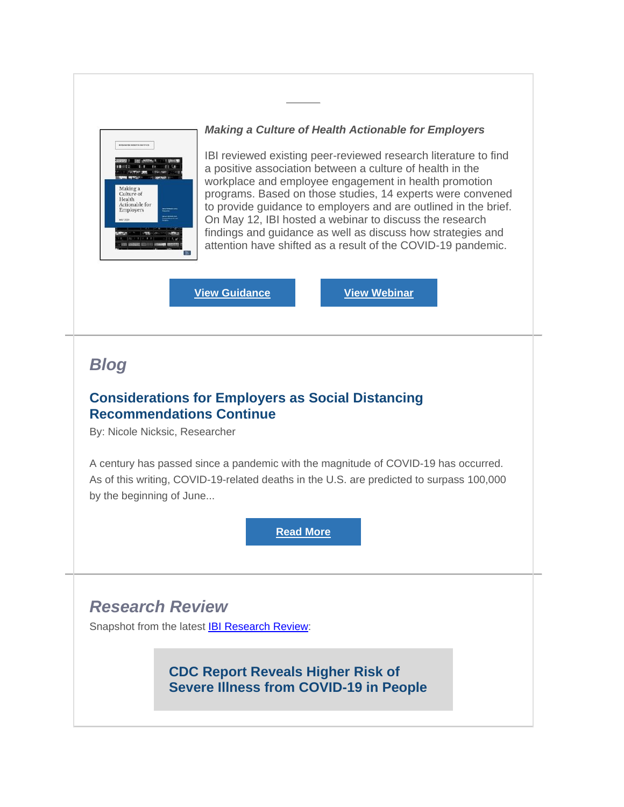

*Making a Culture of Health Actionable for Employers*

IBI reviewed existing peer-reviewed research literature to find a positive association between a culture of health in the workplace and employee engagement in health promotion programs. Based on those studies, 14 experts were convened to provide guidance to employers and are outlined in the brief. On May 12, IBI hosted a webinar to discuss the research findings and guidance as well as discuss how strategies and attention have shifted as a result of the COVID-19 pandemic.

**[View Guidance](https://www.ibiweb.org/resource/making-a-culture-of-health-actionable-for-employers/) [View Webinar](https://www.ibiweb.org/resource/building-a-culture-of-health-in-the-workplace-and-what-this-means-in-the-age-of-covid-19/)**

# *Blog*

# **Considerations for Employers as Social Distancing Recommendations Continue**

By: Nicole Nicksic, Researcher

A century has passed since a pandemic with the magnitude of COVID-19 has occurred. As of this writing, COVID-19-related deaths in the U.S. are predicted to surpass 100,000 by the beginning of June...

**[Read More](https://www.ibiweb.org/considerations-for-employers-as-social-distancing-recommendations-continue/)**

# *Research Review*

Snapshot from the latest [IBI Research Review:](https://www.ibiweb.org/resource/research-review-may-2020/)

**CDC Report Reveals Higher Risk of Severe Illness from COVID-19 in People**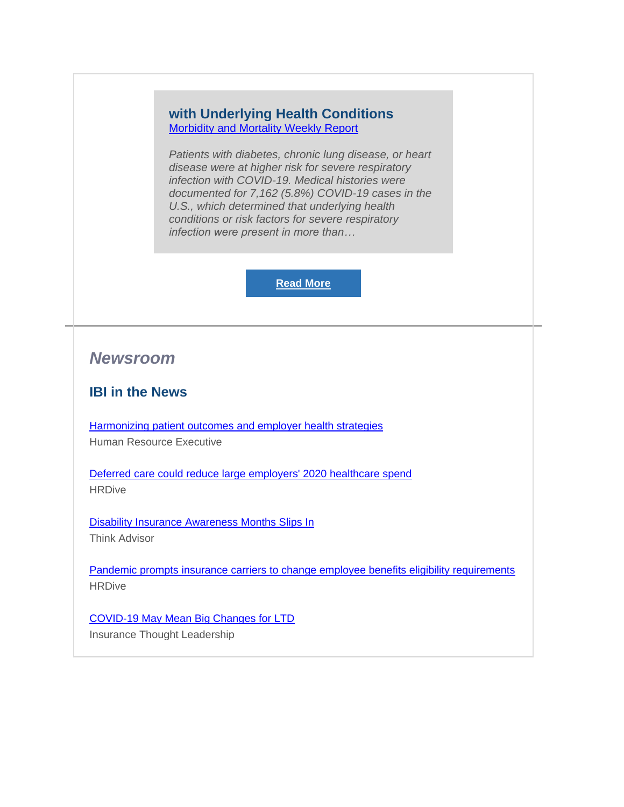# **with Underlying Health Conditions**

[Morbidity and Mortality Weekly Report](https://www.cdc.gov/mmwr/volumes/69/wr/mm6913e2.htm)

*Patients with diabetes, chronic lung disease, or heart disease were at higher risk for severe respiratory infection with COVID-19. Medical histories were documented for 7,162 (5.8%) COVID-19 cases in the U.S., which determined that underlying health conditions or risk factors for severe respiratory infection were present in more than…*

**[Read More](https://www.ibiweb.org/resource/research-review-may-2020/)**

# *Newsroom*

## **IBI in the News**

[Harmonizing patient outcomes and employer health strategies](https://hrexecutive.com/harmonizing-patient-centered-outcomes-and-employer-health-strategies/) Human Resource Executive

[Deferred care could reduce large employers' 2020 healthcare spend](https://www.hrdive.com/news/deferred-care-could-reduce-large-employers-2020-healthcare-spend/577592/) **HRDive** 

[Disability Insurance Awareness Months Slips In](https://www.thinkadvisor.com/2020/05/01/disability-insurance-awareness-months-slips-in/) Think Advisor

[Pandemic prompts insurance carriers to change employee benefits eligibility requirements](https://www.hrdive.com/news/pandemic-prompts-insurance-carriers-to-change-employee-benefits-eligibility/576928/) **HRDive** 

[COVID-19 May Mean Big Changes for LTD](https://www.insurancethoughtleadership.com/covid-19-may-mean-big-changes-for-ltd/) Insurance Thought Leadership